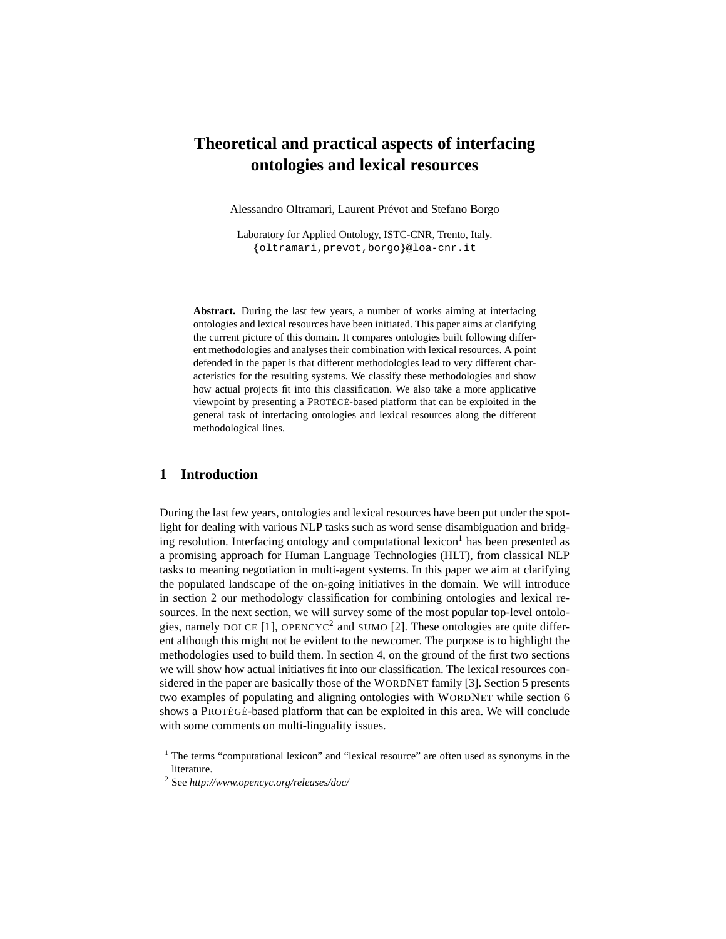# **Theoretical and practical aspects of interfacing ontologies and lexical resources**

Alessandro Oltramari, Laurent Prévot and Stefano Borgo

Laboratory for Applied Ontology, ISTC-CNR, Trento, Italy. {oltramari,prevot,borgo}@loa-cnr.it

**Abstract.** During the last few years, a number of works aiming at interfacing ontologies and lexical resources have been initiated. This paper aims at clarifying the current picture of this domain. It compares ontologies built following different methodologies and analyses their combination with lexical resources. A point defended in the paper is that different methodologies lead to very different characteristics for the resulting systems. We classify these methodologies and show how actual projects fit into this classification. We also take a more applicative viewpoint by presenting a PROTÉGÉ-based platform that can be exploited in the general task of interfacing ontologies and lexical resources along the different methodological lines.

# **1 Introduction**

During the last few years, ontologies and lexical resources have been put under the spotlight for dealing with various NLP tasks such as word sense disambiguation and bridging resolution. Interfacing ontology and computational lexicon $<sup>1</sup>$  has been presented as</sup> a promising approach for Human Language Technologies (HLT), from classical NLP tasks to meaning negotiation in multi-agent systems. In this paper we aim at clarifying the populated landscape of the on-going initiatives in the domain. We will introduce in section 2 our methodology classification for combining ontologies and lexical resources. In the next section, we will survey some of the most popular top-level ontologies, namely DOLCE [1], OPENCYC<sup>2</sup> and SUMO [2]. These ontologies are quite different although this might not be evident to the newcomer. The purpose is to highlight the methodologies used to build them. In section 4, on the ground of the first two sections we will show how actual initiatives fit into our classification. The lexical resources considered in the paper are basically those of the WORDNET family [3]. Section 5 presents two examples of populating and aligning ontologies with WORDNET while section 6 shows a PROTÉGÉ-based platform that can be exploited in this area. We will conclude with some comments on multi-linguality issues.

<sup>&</sup>lt;sup>1</sup> The terms "computational lexicon" and "lexical resource" are often used as synonyms in the literature.

<sup>2</sup> See *http://www.opencyc.org/releases/doc/*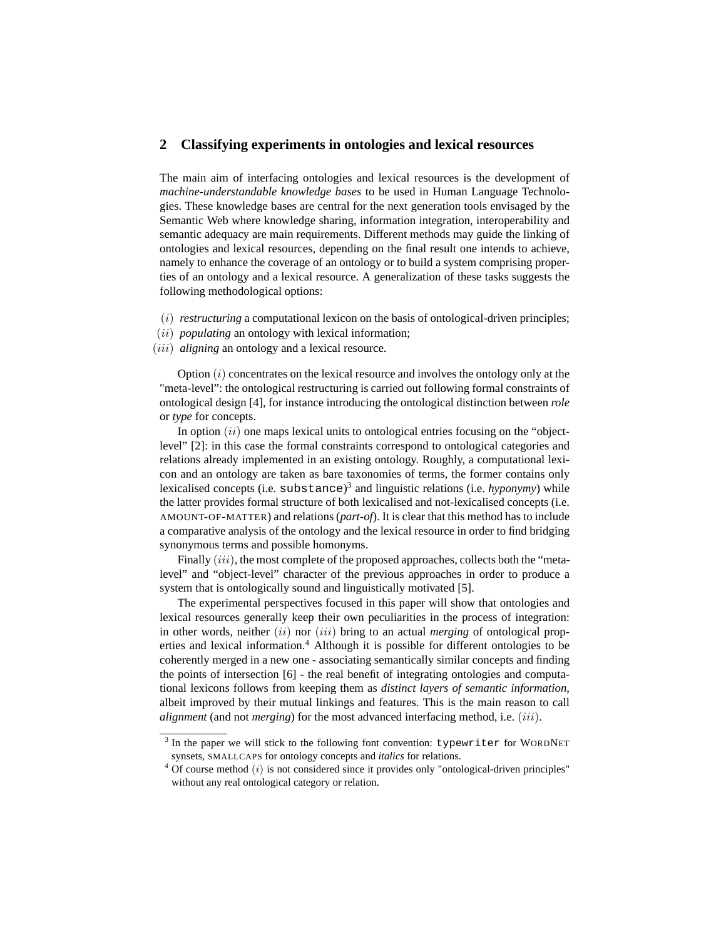# **2 Classifying experiments in ontologies and lexical resources**

The main aim of interfacing ontologies and lexical resources is the development of *machine-understandable knowledge bases* to be used in Human Language Technologies. These knowledge bases are central for the next generation tools envisaged by the Semantic Web where knowledge sharing, information integration, interoperability and semantic adequacy are main requirements. Different methods may guide the linking of ontologies and lexical resources, depending on the final result one intends to achieve, namely to enhance the coverage of an ontology or to build a system comprising properties of an ontology and a lexical resource. A generalization of these tasks suggests the following methodological options:

- (i) *restructuring* a computational lexicon on the basis of ontological-driven principles;
- (ii) *populating* an ontology with lexical information;
- (iii) *aligning* an ontology and a lexical resource.

Option  $(i)$  concentrates on the lexical resource and involves the ontology only at the "meta-level": the ontological restructuring is carried out following formal constraints of ontological design [4], for instance introducing the ontological distinction between *role* or *type* for concepts.

In option  $(ii)$  one maps lexical units to ontological entries focusing on the "objectlevel" [2]: in this case the formal constraints correspond to ontological categories and relations already implemented in an existing ontology. Roughly, a computational lexicon and an ontology are taken as bare taxonomies of terms, the former contains only lexicalised concepts (i.e. substance) 3 and linguistic relations (i.e. *hyponymy*) while the latter provides formal structure of both lexicalised and not-lexicalised concepts (i.e. AMOUNT-OF-MATTER) and relations (*part-of*). It is clear that this method has to include a comparative analysis of the ontology and the lexical resource in order to find bridging synonymous terms and possible homonyms.

Finally  $(iii)$ , the most complete of the proposed approaches, collects both the "metalevel" and "object-level" character of the previous approaches in order to produce a system that is ontologically sound and linguistically motivated [5].

The experimental perspectives focused in this paper will show that ontologies and lexical resources generally keep their own peculiarities in the process of integration: in other words, neither (ii) nor (iii) bring to an actual *merging* of ontological properties and lexical information.<sup>4</sup> Although it is possible for different ontologies to be coherently merged in a new one - associating semantically similar concepts and finding the points of intersection [6] - the real benefit of integrating ontologies and computational lexicons follows from keeping them as *distinct layers of semantic information*, albeit improved by their mutual linkings and features. This is the main reason to call *alignment* (and not *merging*) for the most advanced interfacing method, i.e. (iii).

 $3$  In the paper we will stick to the following font convention: typewriter for WORDNET synsets, SMALLCAPS for ontology concepts and *italics* for relations.

 $4$  Of course method (*i*) is not considered since it provides only "ontological-driven principles" without any real ontological category or relation.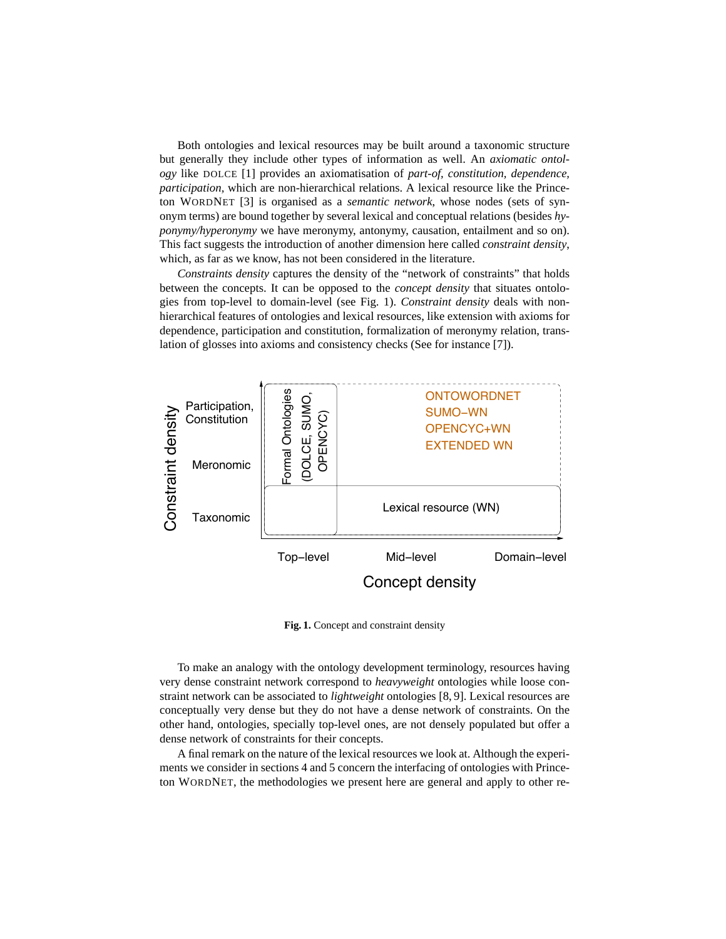Both ontologies and lexical resources may be built around a taxonomic structure but generally they include other types of information as well. An *axiomatic ontology* like DOLCE [1] provides an axiomatisation of *part-of, constitution, dependence, participation,* which are non-hierarchical relations. A lexical resource like the Princeton WORDNET [3] is organised as a *semantic network*, whose nodes (sets of synonym terms) are bound together by several lexical and conceptual relations (besides *hyponymy/hyperonymy* we have meronymy, antonymy, causation, entailment and so on). This fact suggests the introduction of another dimension here called *constraint density*, which, as far as we know, has not been considered in the literature.

*Constraints density* captures the density of the "network of constraints" that holds between the concepts. It can be opposed to the *concept density* that situates ontologies from top-level to domain-level (see Fig. 1). *Constraint density* deals with nonhierarchical features of ontologies and lexical resources, like extension with axioms for dependence, participation and constitution, formalization of meronymy relation, translation of glosses into axioms and consistency checks (See for instance [7]).



**Fig. 1.** Concept and constraint density

To make an analogy with the ontology development terminology, resources having very dense constraint network correspond to *heavyweight* ontologies while loose constraint network can be associated to *lightweight* ontologies [8, 9]. Lexical resources are conceptually very dense but they do not have a dense network of constraints. On the other hand, ontologies, specially top-level ones, are not densely populated but offer a dense network of constraints for their concepts.

A final remark on the nature of the lexical resources we look at. Although the experiments we consider in sections 4 and 5 concern the interfacing of ontologies with Princeton WORDNET, the methodologies we present here are general and apply to other re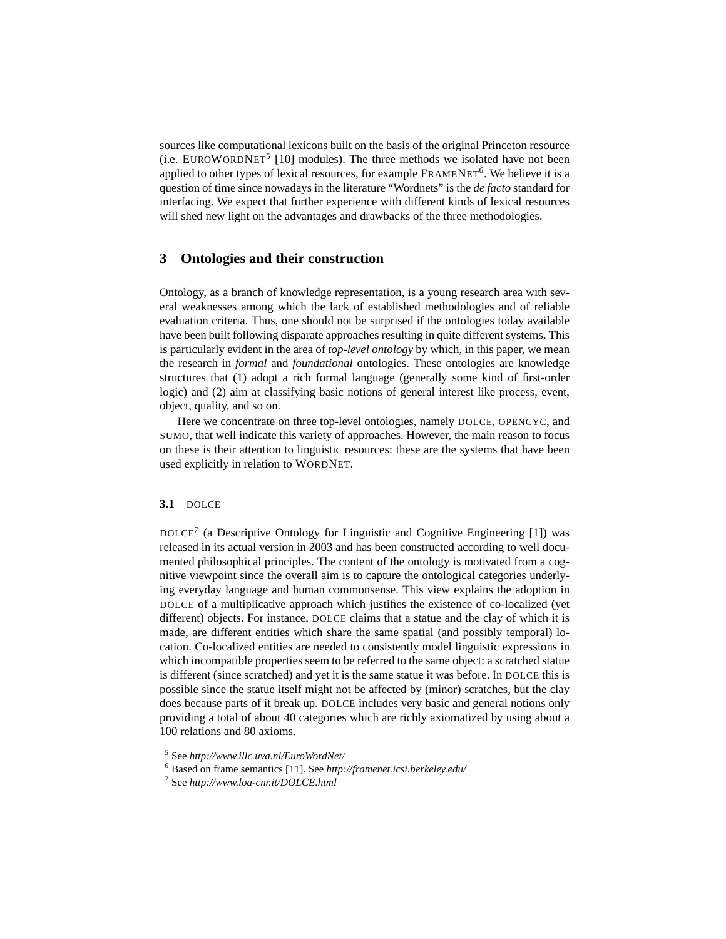sources like computational lexicons built on the basis of the original Princeton resource  $(i.e. EUROWORDNET<sup>5</sup> [10] modules).$  The three methods we isolated have not been applied to other types of lexical resources, for example FRAMENET<sup>6</sup>. We believe it is a question of time since nowadays in the literature "Wordnets" is the *de facto* standard for interfacing. We expect that further experience with different kinds of lexical resources will shed new light on the advantages and drawbacks of the three methodologies.

# **3 Ontologies and their construction**

Ontology, as a branch of knowledge representation, is a young research area with several weaknesses among which the lack of established methodologies and of reliable evaluation criteria. Thus, one should not be surprised if the ontologies today available have been built following disparate approaches resulting in quite different systems. This is particularly evident in the area of *top-level ontology* by which, in this paper, we mean the research in *formal* and *foundational* ontologies. These ontologies are knowledge structures that (1) adopt a rich formal language (generally some kind of first-order logic) and (2) aim at classifying basic notions of general interest like process, event, object, quality, and so on.

Here we concentrate on three top-level ontologies, namely DOLCE, OPENCYC, and SUMO, that well indicate this variety of approaches. However, the main reason to focus on these is their attention to linguistic resources: these are the systems that have been used explicitly in relation to WORDNET.

#### **3.1** DOLCE

 $DOLCE<sup>7</sup>$  (a Descriptive Ontology for Linguistic and Cognitive Engineering [1]) was released in its actual version in 2003 and has been constructed according to well documented philosophical principles. The content of the ontology is motivated from a cognitive viewpoint since the overall aim is to capture the ontological categories underlying everyday language and human commonsense. This view explains the adoption in DOLCE of a multiplicative approach which justifies the existence of co-localized (yet different) objects. For instance, DOLCE claims that a statue and the clay of which it is made, are different entities which share the same spatial (and possibly temporal) location. Co-localized entities are needed to consistently model linguistic expressions in which incompatible properties seem to be referred to the same object: a scratched statue is different (since scratched) and yet it is the same statue it was before. In DOLCE this is possible since the statue itself might not be affected by (minor) scratches, but the clay does because parts of it break up. DOLCE includes very basic and general notions only providing a total of about 40 categories which are richly axiomatized by using about a 100 relations and 80 axioms.

<sup>5</sup> See *http://www.illc.uva.nl/EuroWordNet/*

<sup>6</sup> Based on frame semantics [11]. See *http://framenet.icsi.berkeley.edu/*

<sup>7</sup> See *http://www.loa-cnr.it/DOLCE.html*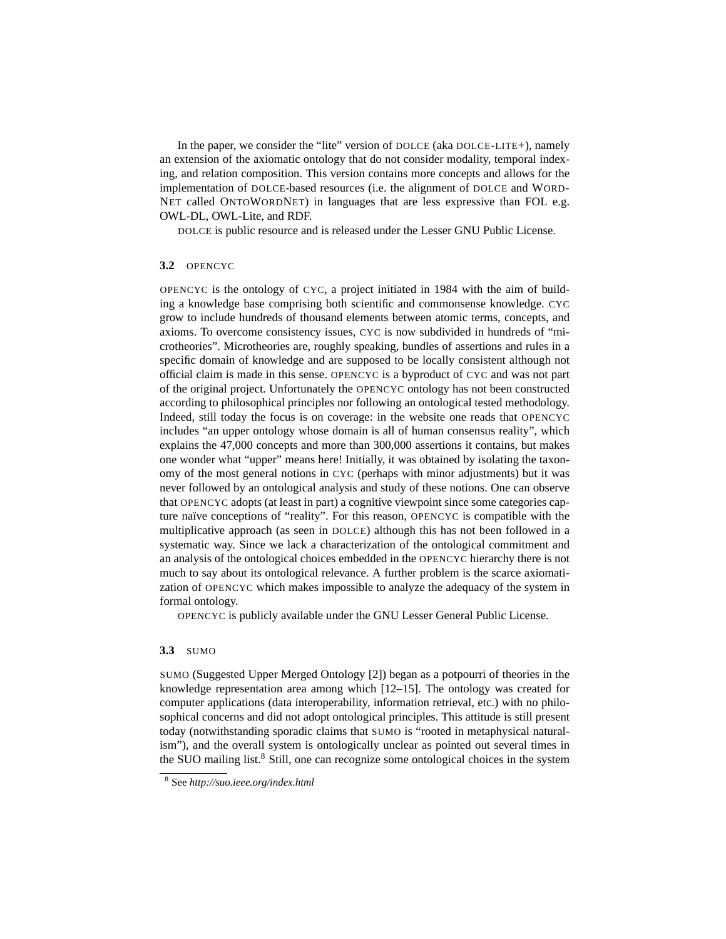In the paper, we consider the "lite" version of DOLCE (aka DOLCE-LITE+), namely an extension of the axiomatic ontology that do not consider modality, temporal indexing, and relation composition. This version contains more concepts and allows for the implementation of DOLCE-based resources (i.e. the alignment of DOLCE and WORD-NET called ONTOWORDNET) in languages that are less expressive than FOL e.g. OWL-DL, OWL-Lite, and RDF.

DOLCE is public resource and is released under the Lesser GNU Public License.

#### **3.2** OPENCYC

OPENCYC is the ontology of CYC, a project initiated in 1984 with the aim of building a knowledge base comprising both scientific and commonsense knowledge. CYC grow to include hundreds of thousand elements between atomic terms, concepts, and axioms. To overcome consistency issues, CYC is now subdivided in hundreds of "microtheories". Microtheories are, roughly speaking, bundles of assertions and rules in a specific domain of knowledge and are supposed to be locally consistent although not official claim is made in this sense. OPENCYC is a byproduct of CYC and was not part of the original project. Unfortunately the OPENCYC ontology has not been constructed according to philosophical principles nor following an ontological tested methodology. Indeed, still today the focus is on coverage: in the website one reads that OPENCYC includes "an upper ontology whose domain is all of human consensus reality", which explains the 47,000 concepts and more than 300,000 assertions it contains, but makes one wonder what "upper" means here! Initially, it was obtained by isolating the taxonomy of the most general notions in CYC (perhaps with minor adjustments) but it was never followed by an ontological analysis and study of these notions. One can observe that OPENCYC adopts (at least in part) a cognitive viewpoint since some categories capture naïve conceptions of "reality". For this reason, OPENCYC is compatible with the multiplicative approach (as seen in DOLCE) although this has not been followed in a systematic way. Since we lack a characterization of the ontological commitment and an analysis of the ontological choices embedded in the OPENCYC hierarchy there is not much to say about its ontological relevance. A further problem is the scarce axiomatization of OPENCYC which makes impossible to analyze the adequacy of the system in formal ontology.

OPENCYC is publicly available under the GNU Lesser General Public License.

#### **3.3** SUMO

SUMO (Suggested Upper Merged Ontology [2]) began as a potpourri of theories in the knowledge representation area among which [12–15]. The ontology was created for computer applications (data interoperability, information retrieval, etc.) with no philosophical concerns and did not adopt ontological principles. This attitude is still present today (notwithstanding sporadic claims that SUMO is "rooted in metaphysical naturalism"), and the overall system is ontologically unclear as pointed out several times in the SUO mailing list.<sup>8</sup> Still, one can recognize some ontological choices in the system

<sup>8</sup> See *http://suo.ieee.org/index.html*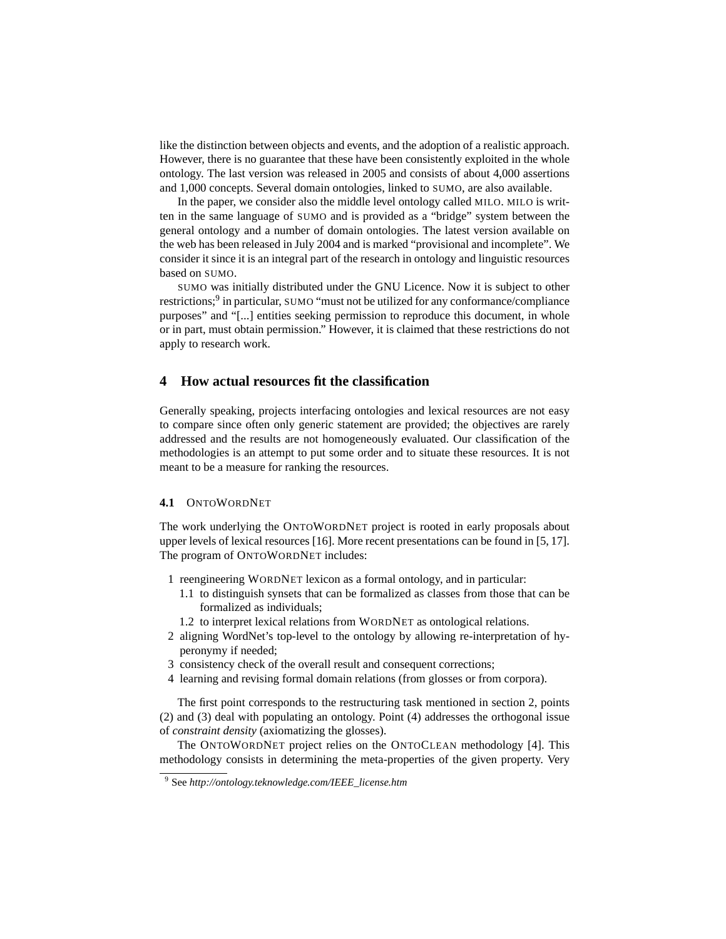like the distinction between objects and events, and the adoption of a realistic approach. However, there is no guarantee that these have been consistently exploited in the whole ontology. The last version was released in 2005 and consists of about 4,000 assertions and 1,000 concepts. Several domain ontologies, linked to SUMO, are also available.

In the paper, we consider also the middle level ontology called MILO. MILO is written in the same language of SUMO and is provided as a "bridge" system between the general ontology and a number of domain ontologies. The latest version available on the web has been released in July 2004 and is marked "provisional and incomplete". We consider it since it is an integral part of the research in ontology and linguistic resources based on SUMO.

SUMO was initially distributed under the GNU Licence. Now it is subject to other restrictions;<sup>9</sup> in particular, SUMO "must not be utilized for any conformance/compliance purposes" and "[...] entities seeking permission to reproduce this document, in whole or in part, must obtain permission." However, it is claimed that these restrictions do not apply to research work.

# **4 How actual resources fit the classification**

Generally speaking, projects interfacing ontologies and lexical resources are not easy to compare since often only generic statement are provided; the objectives are rarely addressed and the results are not homogeneously evaluated. Our classification of the methodologies is an attempt to put some order and to situate these resources. It is not meant to be a measure for ranking the resources.

#### **4.1** ONTOWORDNET

The work underlying the ONTOWORDNET project is rooted in early proposals about upper levels of lexical resources [16]. More recent presentations can be found in [5, 17]. The program of ONTOWORDNET includes:

- 1 reengineering WORDNET lexicon as a formal ontology, and in particular:
	- 1.1 to distinguish synsets that can be formalized as classes from those that can be formalized as individuals;
	- 1.2 to interpret lexical relations from WORDNET as ontological relations.
- 2 aligning WordNet's top-level to the ontology by allowing re-interpretation of hyperonymy if needed;
- 3 consistency check of the overall result and consequent corrections;
- 4 learning and revising formal domain relations (from glosses or from corpora).

The first point corresponds to the restructuring task mentioned in section 2, points (2) and (3) deal with populating an ontology. Point (4) addresses the orthogonal issue of *constraint density* (axiomatizing the glosses).

The ONTOWORDNET project relies on the ONTOCLEAN methodology [4]. This methodology consists in determining the meta-properties of the given property. Very

<sup>9</sup> See *http://ontology.teknowledge.com/IEEE\_license.htm*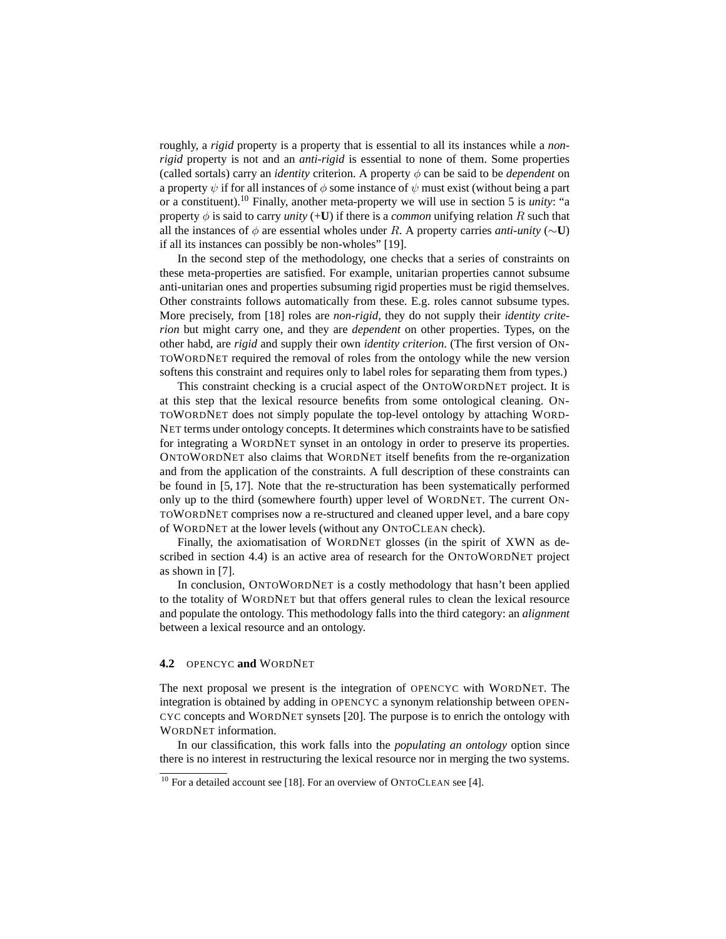roughly, a *rigid* property is a property that is essential to all its instances while a *nonrigid* property is not and an *anti-rigid* is essential to none of them. Some properties (called sortals) carry an *identity* criterion. A property  $\phi$  can be said to be *dependent* on a property  $\psi$  if for all instances of  $\phi$  some instance of  $\psi$  must exist (without being a part or a constituent).<sup>10</sup> Finally, another meta-property we will use in section 5 is *unity*: "a property  $\phi$  is said to carry *unity* (+**U**) if there is a *common* unifying relation R such that all the instances of  $\phi$  are essential wholes under R. A property carries *anti-unity* ( $\sim$ **U**) if all its instances can possibly be non-wholes" [19].

In the second step of the methodology, one checks that a series of constraints on these meta-properties are satisfied. For example, unitarian properties cannot subsume anti-unitarian ones and properties subsuming rigid properties must be rigid themselves. Other constraints follows automatically from these. E.g. roles cannot subsume types. More precisely, from [18] roles are *non-rigid*, they do not supply their *identity criterion* but might carry one, and they are *dependent* on other properties. Types, on the other habd, are *rigid* and supply their own *identity criterion*. (The first version of ON-TOWORDNET required the removal of roles from the ontology while the new version softens this constraint and requires only to label roles for separating them from types.)

This constraint checking is a crucial aspect of the ONTOWORDNET project. It is at this step that the lexical resource benefits from some ontological cleaning. ON-TOWORDNET does not simply populate the top-level ontology by attaching WORD-NET terms under ontology concepts. It determines which constraints have to be satisfied for integrating a WORDNET synset in an ontology in order to preserve its properties. ONTOWORDNET also claims that WORDNET itself benefits from the re-organization and from the application of the constraints. A full description of these constraints can be found in [5, 17]. Note that the re-structuration has been systematically performed only up to the third (somewhere fourth) upper level of WORDNET. The current ON-TOWORDNET comprises now a re-structured and cleaned upper level, and a bare copy of WORDNET at the lower levels (without any ONTOCLEAN check).

Finally, the axiomatisation of WORDNET glosses (in the spirit of XWN as described in section 4.4) is an active area of research for the ONTOWORDNET project as shown in [7].

In conclusion, ONTOWORDNET is a costly methodology that hasn't been applied to the totality of WORDNET but that offers general rules to clean the lexical resource and populate the ontology. This methodology falls into the third category: an *alignment* between a lexical resource and an ontology.

#### **4.2** OPENCYC **and** WORDNET

The next proposal we present is the integration of OPENCYC with WORDNET. The integration is obtained by adding in OPENCYC a synonym relationship between OPEN-CYC concepts and WORDNET synsets [20]. The purpose is to enrich the ontology with WORDNET information.

In our classification, this work falls into the *populating an ontology* option since there is no interest in restructuring the lexical resource nor in merging the two systems.

 $10$  For a detailed account see [18]. For an overview of ONTOCLEAN see [4].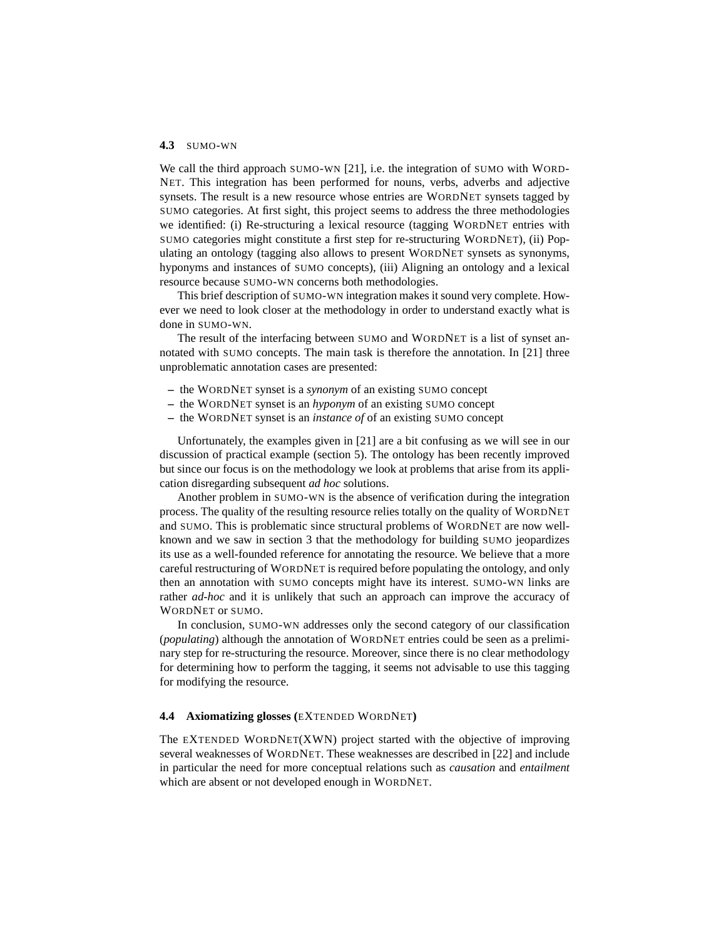#### **4.3** SUMO-WN

We call the third approach SUMO-WN [21], i.e. the integration of SUMO with WORD-NET. This integration has been performed for nouns, verbs, adverbs and adjective synsets. The result is a new resource whose entries are WORDNET synsets tagged by SUMO categories. At first sight, this project seems to address the three methodologies we identified: (i) Re-structuring a lexical resource (tagging WORDNET entries with SUMO categories might constitute a first step for re-structuring WORDNET), (ii) Populating an ontology (tagging also allows to present WORDNET synsets as synonyms, hyponyms and instances of SUMO concepts), (iii) Aligning an ontology and a lexical resource because SUMO-WN concerns both methodologies.

This brief description of SUMO-WN integration makes it sound very complete. However we need to look closer at the methodology in order to understand exactly what is done in SUMO-WN.

The result of the interfacing between SUMO and WORDNET is a list of synset annotated with SUMO concepts. The main task is therefore the annotation. In [21] three unproblematic annotation cases are presented:

- **–** the WORDNET synset is a *synonym* of an existing SUMO concept
- **–** the WORDNET synset is an *hyponym* of an existing SUMO concept
- **–** the WORDNET synset is an *instance of* of an existing SUMO concept

Unfortunately, the examples given in [21] are a bit confusing as we will see in our discussion of practical example (section 5). The ontology has been recently improved but since our focus is on the methodology we look at problems that arise from its application disregarding subsequent *ad hoc* solutions.

Another problem in SUMO-WN is the absence of verification during the integration process. The quality of the resulting resource relies totally on the quality of WORDNET and SUMO. This is problematic since structural problems of WORDNET are now wellknown and we saw in section 3 that the methodology for building SUMO jeopardizes its use as a well-founded reference for annotating the resource. We believe that a more careful restructuring of WORDNET is required before populating the ontology, and only then an annotation with SUMO concepts might have its interest. SUMO-WN links are rather *ad-hoc* and it is unlikely that such an approach can improve the accuracy of WORDNET or SUMO.

In conclusion, SUMO-WN addresses only the second category of our classification (*populating*) although the annotation of WORDNET entries could be seen as a preliminary step for re-structuring the resource. Moreover, since there is no clear methodology for determining how to perform the tagging, it seems not advisable to use this tagging for modifying the resource.

#### **4.4 Axiomatizing glosses (**EXTENDED WORDNET**)**

The EXTENDED WORDNET(XWN) project started with the objective of improving several weaknesses of WORDNET. These weaknesses are described in [22] and include in particular the need for more conceptual relations such as *causation* and *entailment* which are absent or not developed enough in WORDNET.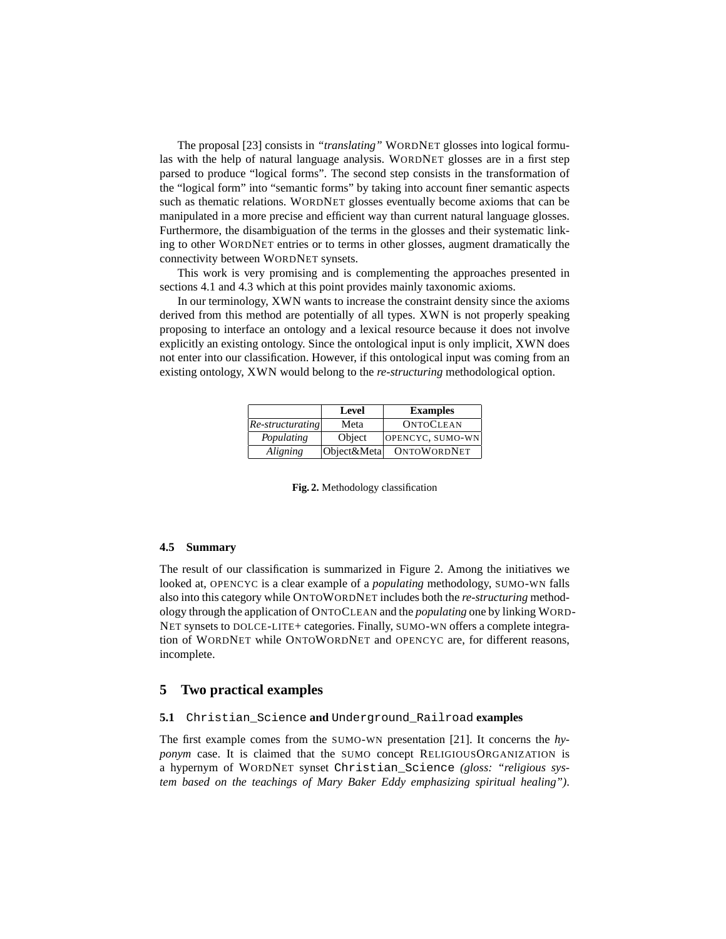The proposal [23] consists in *"translating"* WORDNET glosses into logical formulas with the help of natural language analysis. WORDNET glosses are in a first step parsed to produce "logical forms". The second step consists in the transformation of the "logical form" into "semantic forms" by taking into account finer semantic aspects such as thematic relations. WORDNET glosses eventually become axioms that can be manipulated in a more precise and efficient way than current natural language glosses. Furthermore, the disambiguation of the terms in the glosses and their systematic linking to other WORDNET entries or to terms in other glosses, augment dramatically the connectivity between WORDNET synsets.

This work is very promising and is complementing the approaches presented in sections 4.1 and 4.3 which at this point provides mainly taxonomic axioms.

In our terminology, XWN wants to increase the constraint density since the axioms derived from this method are potentially of all types. XWN is not properly speaking proposing to interface an ontology and a lexical resource because it does not involve explicitly an existing ontology. Since the ontological input is only implicit, XWN does not enter into our classification. However, if this ontological input was coming from an existing ontology, XWN would belong to the *re-structuring* methodological option.

|                | Level       | <b>Examples</b>    |
|----------------|-------------|--------------------|
| $Re-structure$ | Meta        | <b>ONTOCLEAN</b>   |
| Populating     | Object      | OPENCYC, SUMO-WN   |
| Aligning       | Object&Meta | <b>ONTOWORDNET</b> |

**Fig. 2.** Methodology classification

#### **4.5 Summary**

The result of our classification is summarized in Figure 2. Among the initiatives we looked at, OPENCYC is a clear example of a *populating* methodology, SUMO-WN falls also into this category while ONTOWORDNET includes both the *re-structuring* methodology through the application of ONTOCLEAN and the *populating* one by linking WORD-NET synsets to DOLCE-LITE+ categories. Finally, SUMO-WN offers a complete integration of WORDNET while ONTOWORDNET and OPENCYC are, for different reasons, incomplete.

### **5 Two practical examples**

#### **5.1** Christian\_Science **and** Underground\_Railroad **examples**

The first example comes from the SUMO-WN presentation [21]. It concerns the *hyponym* case. It is claimed that the SUMO concept RELIGIOUSORGANIZATION is a hypernym of WORDNET synset Christian\_Science *(gloss: "religious system based on the teachings of Mary Baker Eddy emphasizing spiritual healing")*.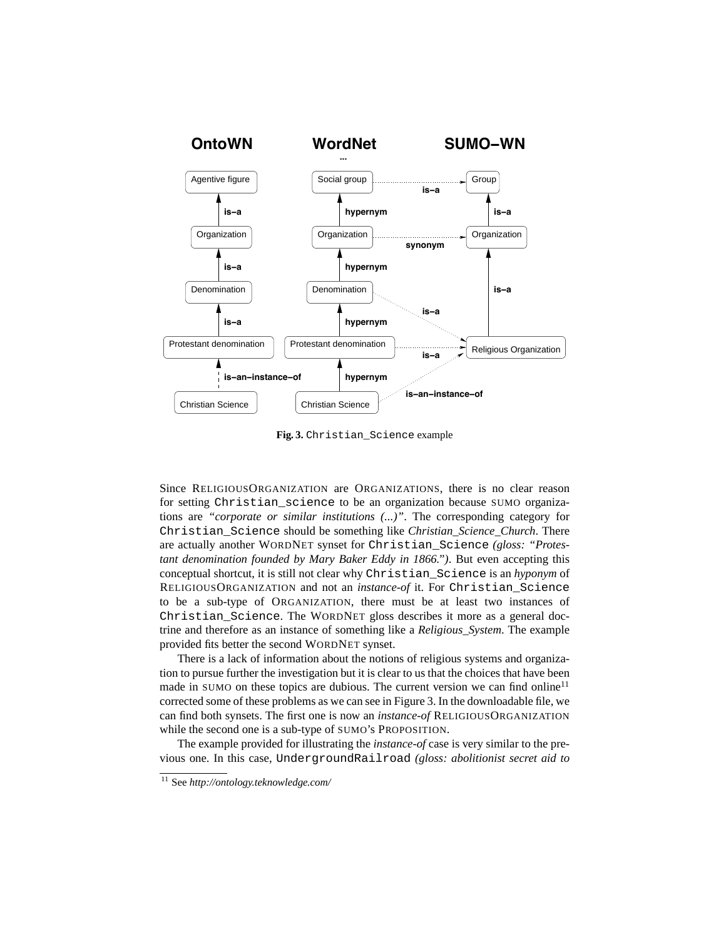

**Fig. 3.** Christian\_Science example

Since RELIGIOUSORGANIZATION are ORGANIZATIONS, there is no clear reason for setting Christian\_science to be an organization because SUMO organizations are *"corporate or similar institutions (...)"*. The corresponding category for Christian\_Science should be something like *Christian\_Science\_Church*. There are actually another WORDNET synset for Christian\_Science *(gloss: "Protestant denomination founded by Mary Baker Eddy in 1866.")*. But even accepting this conceptual shortcut, it is still not clear why Christian\_Science is an *hyponym* of RELIGIOUSORGANIZATION and not an *instance-of* it. For Christian\_Science to be a sub-type of ORGANIZATION, there must be at least two instances of Christian Science. The WORDNET gloss describes it more as a general doctrine and therefore as an instance of something like a *Religious\_System*. The example provided fits better the second WORDNET synset.

There is a lack of information about the notions of religious systems and organization to pursue further the investigation but it is clear to us that the choices that have been made in SUMO on these topics are dubious. The current version we can find online<sup>11</sup> corrected some of these problems as we can see in Figure 3. In the downloadable file, we can find both synsets. The first one is now an *instance-of* RELIGIOUSORGANIZATION while the second one is a sub-type of SUMO's PROPOSITION.

The example provided for illustrating the *instance-of* case is very similar to the previous one. In this case, UndergroundRailroad *(gloss: abolitionist secret aid to*

<sup>11</sup> See *http://ontology.teknowledge.com/*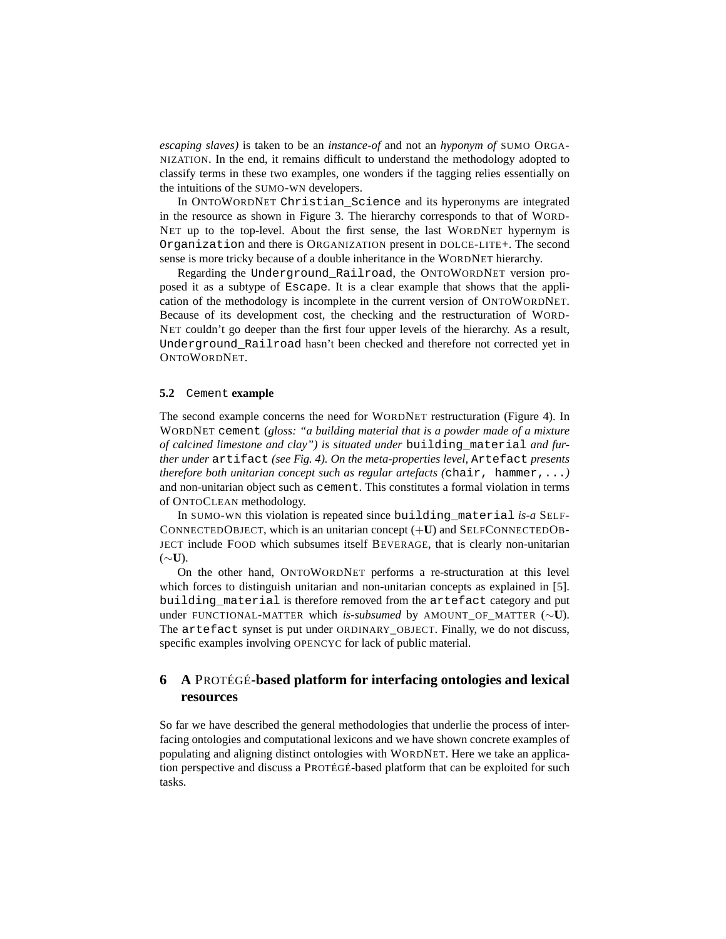*escaping slaves)* is taken to be an *instance-of* and not an *hyponym of* SUMO ORGA-NIZATION. In the end, it remains difficult to understand the methodology adopted to classify terms in these two examples, one wonders if the tagging relies essentially on the intuitions of the SUMO-WN developers.

In ONTOWORDNET Christian\_Science and its hyperonyms are integrated in the resource as shown in Figure 3. The hierarchy corresponds to that of WORD-NET up to the top-level. About the first sense, the last WORDNET hypernym is Organization and there is ORGANIZATION present in DOLCE-LITE+. The second sense is more tricky because of a double inheritance in the WORDNET hierarchy.

Regarding the Underground\_Railroad, the ONTOWORDNET version proposed it as a subtype of Escape. It is a clear example that shows that the application of the methodology is incomplete in the current version of ONTOWORDNET. Because of its development cost, the checking and the restructuration of WORD-NET couldn't go deeper than the first four upper levels of the hierarchy. As a result, Underground\_Railroad hasn't been checked and therefore not corrected yet in ONTOWORDNET.

#### **5.2** Cement **example**

The second example concerns the need for WORDNET restructuration (Figure 4). In WORDNET cement (*gloss: "a building material that is a powder made of a mixture of calcined limestone and clay") is situated under* building\_material *and further under* artifact *(see Fig. 4). On the meta-properties level,* Artefact *presents therefore both unitarian concept such as regular artefacts (*chair, hammer,...*)* and non-unitarian object such as cement. This constitutes a formal violation in terms of ONTOCLEAN methodology.

In SUMO-WN this violation is repeated since building\_material *is-a* SELF-CONNECTEDOBJECT, which is an unitarian concept (+**U**) and SELFCONNECTEDOB-JECT include FOOD which subsumes itself BEVERAGE, that is clearly non-unitarian (∼**U**).

On the other hand, ONTOWORDNET performs a re-structuration at this level which forces to distinguish unitarian and non-unitarian concepts as explained in [5]. building\_material is therefore removed from the artefact category and put under FUNCTIONAL-MATTER which *is-subsumed* by AMOUNT\_OF\_MATTER (∼**U**). The artefact synset is put under ORDINARY\_OBJECT. Finally, we do not discuss, specific examples involving OPENCYC for lack of public material.

# **6 A** PROTÉGÉ**-based platform for interfacing ontologies and lexical resources**

So far we have described the general methodologies that underlie the process of interfacing ontologies and computational lexicons and we have shown concrete examples of populating and aligning distinct ontologies with WORDNET. Here we take an application perspective and discuss a PROTÉGÉ-based platform that can be exploited for such tasks.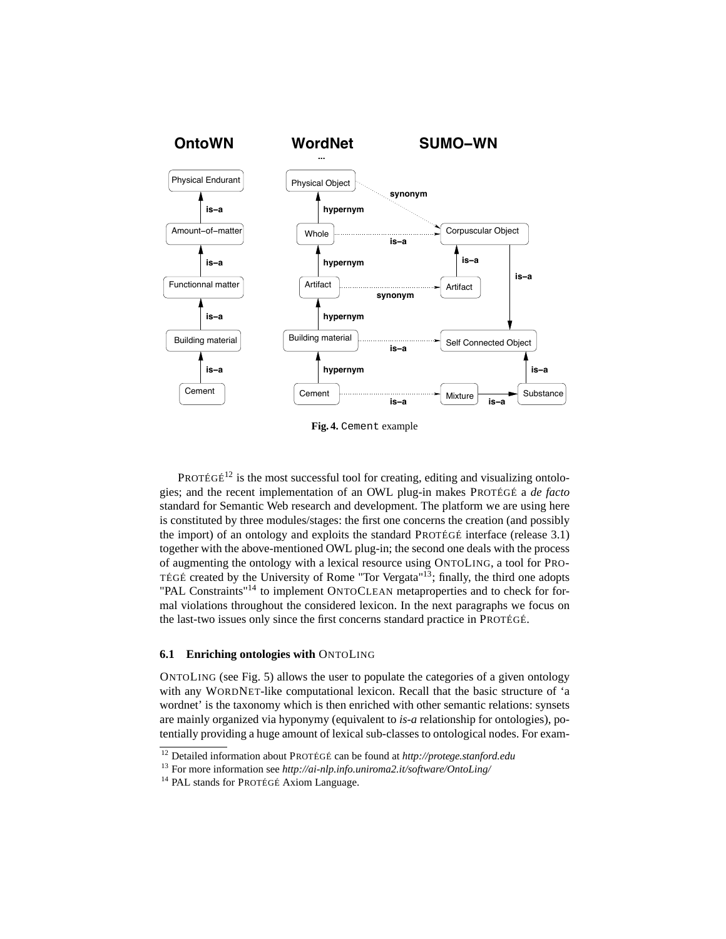

**Fig. 4.** Cement example

PROTÉGÉ<sup>12</sup> is the most successful tool for creating, editing and visualizing ontologies; and the recent implementation of an OWL plug-in makes PROTÉGÉ a *de facto* standard for Semantic Web research and development. The platform we are using here is constituted by three modules/stages: the first one concerns the creation (and possibly the import) of an ontology and exploits the standard PROTÉGÉ interface (release 3.1) together with the above-mentioned OWL plug-in; the second one deals with the process of augmenting the ontology with a lexical resource using ONTOLING, a tool for PRO-TÉGÉ created by the University of Rome "Tor Vergata"<sup>13</sup>; finally, the third one adopts "PAL Constraints"<sup>14</sup> to implement ONTOCLEAN metaproperties and to check for formal violations throughout the considered lexicon. In the next paragraphs we focus on the last-two issues only since the first concerns standard practice in PROTÉGÉ.

#### **6.1 Enriching ontologies with** ONTOLING

ONTOLING (see Fig. 5) allows the user to populate the categories of a given ontology with any WORDNET-like computational lexicon. Recall that the basic structure of 'a wordnet' is the taxonomy which is then enriched with other semantic relations: synsets are mainly organized via hyponymy (equivalent to *is-a* relationship for ontologies), potentially providing a huge amount of lexical sub-classes to ontological nodes. For exam-

<sup>12</sup> Detailed information about PROTÉGÉ can be found at *http://protege.stanford.edu*

<sup>13</sup> For more information see *http://ai-nlp.info.uniroma2.it/software/OntoLing/*

<sup>&</sup>lt;sup>14</sup> PAL stands for PROTÉGÉ Axiom Language.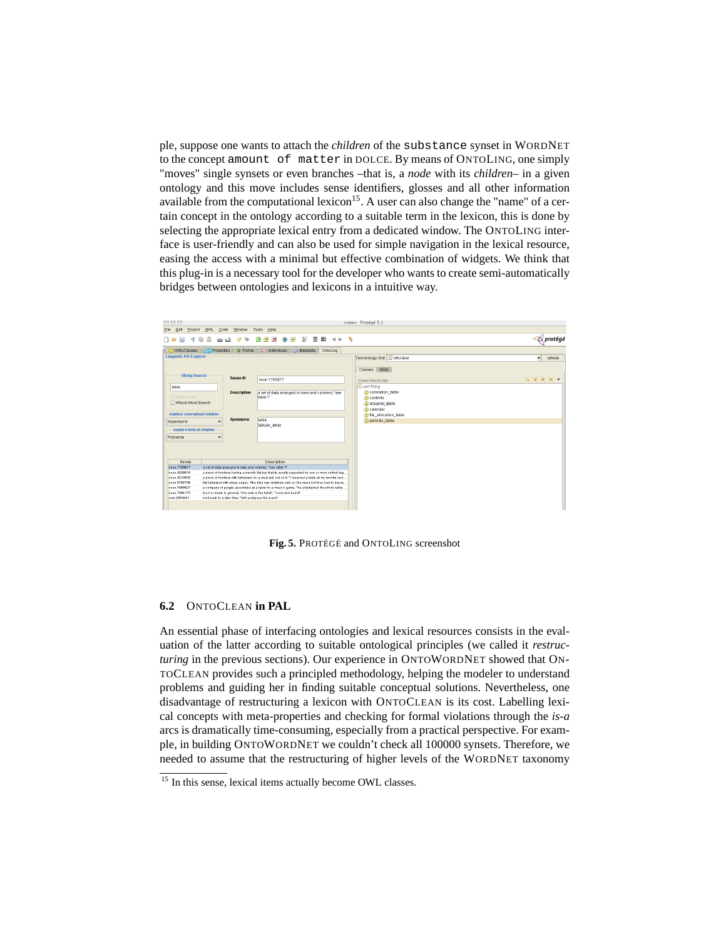ple, suppose one wants to attach the *children* of the substance synset in WORDNET to the concept amount of matter in DOLCE. By means of ONTOLING, one simply "moves" single synsets or even branches –that is, a *node* with its *children*– in a given ontology and this move includes sense identifiers, glosses and all other information available from the computational lexicon<sup>15</sup>. A user can also change the "name" of a certain concept in the ontology according to a suitable term in the lexicon, this is done by selecting the appropriate lexical entry from a dedicated window. The ONTOLING interface is user-friendly and can also be used for simple navigation in the lexical resource, easing the access with a minimal but effective combination of widgets. We think that this plug-in is a necessary tool for the developer who wants to create semi-automatically bridges between ontologies and lexicons in a intuitive way.



**Fig. 5.** PROTÉGÉ and ONTOLING screenshot

#### **6.2** ONTOCLEAN **in PAL**

An essential phase of interfacing ontologies and lexical resources consists in the evaluation of the latter according to suitable ontological principles (we called it *restructuring* in the previous sections). Our experience in ONTOWORDNET showed that ON-TOCLEAN provides such a principled methodology, helping the modeler to understand problems and guiding her in finding suitable conceptual solutions. Nevertheless, one disadvantage of restructuring a lexicon with ONTOCLEAN is its cost. Labelling lexical concepts with meta-properties and checking for formal violations through the *is-a* arcs is dramatically time-consuming, especially from a practical perspective. For example, in building ONTOWORDNET we couldn't check all 100000 synsets. Therefore, we needed to assume that the restructuring of higher levels of the WORDNET taxonomy

<sup>&</sup>lt;sup>15</sup> In this sense, lexical items actually become OWL classes.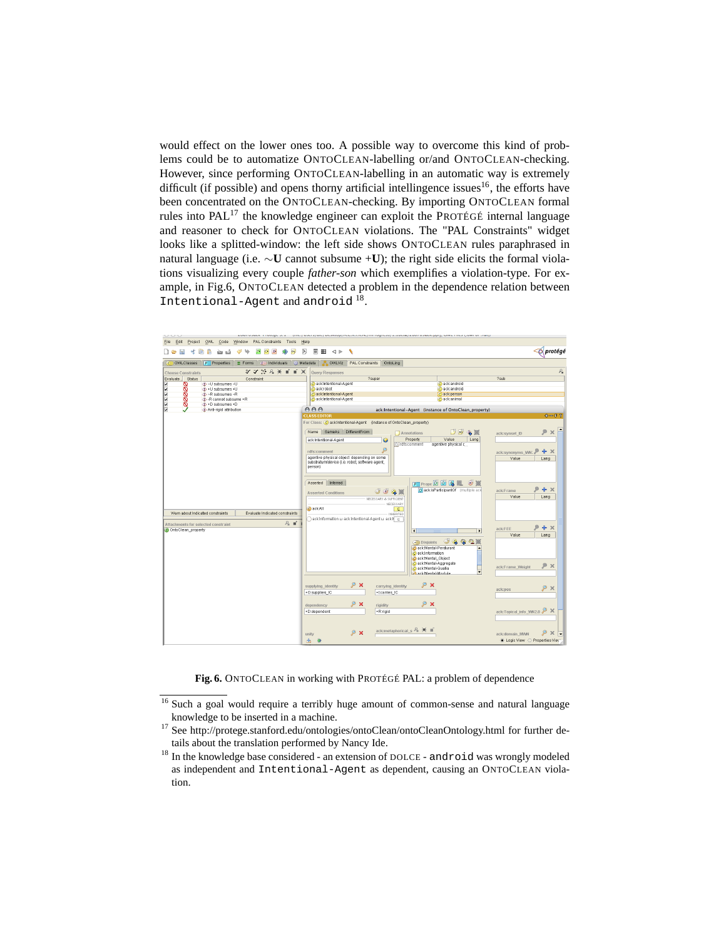would effect on the lower ones too. A possible way to overcome this kind of problems could be to automatize ONTOCLEAN-labelling or/and ONTOCLEAN-checking. However, since performing ONTOCLEAN-labelling in an automatic way is extremely difficult (if possible) and opens thorny artificial intellingence issues<sup>16</sup>, the efforts have been concentrated on the ONTOCLEAN-checking. By importing ONTOCLEAN formal rules into  $PAL^{17}$  the knowledge engineer can exploit the PROTÉGÉ internal language and reasoner to check for ONTOCLEAN violations. The "PAL Constraints" widget looks like a splitted-window: the left side shows ONTOCLEAN rules paraphrased in natural language (i.e. ∼**U** cannot subsume +**U**); the right side elicits the formal violations visualizing every couple *father-son* which exemplifies a violation-type. For example, in Fig.6, ONTOCLEAN detected a problem in the dependence relation between Intentional-Agent and android<sup>18</sup>.



**Fig. 6.** ONTOCLEAN in working with PROTÉGÉ PAL: a problem of dependence

<sup>&</sup>lt;sup>16</sup> Such a goal would require a terribly huge amount of common-sense and natural language knowledge to be inserted in a machine.

<sup>&</sup>lt;sup>17</sup> See http://protege.stanford.edu/ontologies/ontoClean/ontoCleanOntology.html for further details about the translation performed by Nancy Ide.

<sup>&</sup>lt;sup>18</sup> In the knowledge base considered - an extension of DOLCE - android was wrongly modeled as independent and Intentional-Agent as dependent, causing an ONTOCLEAN violation.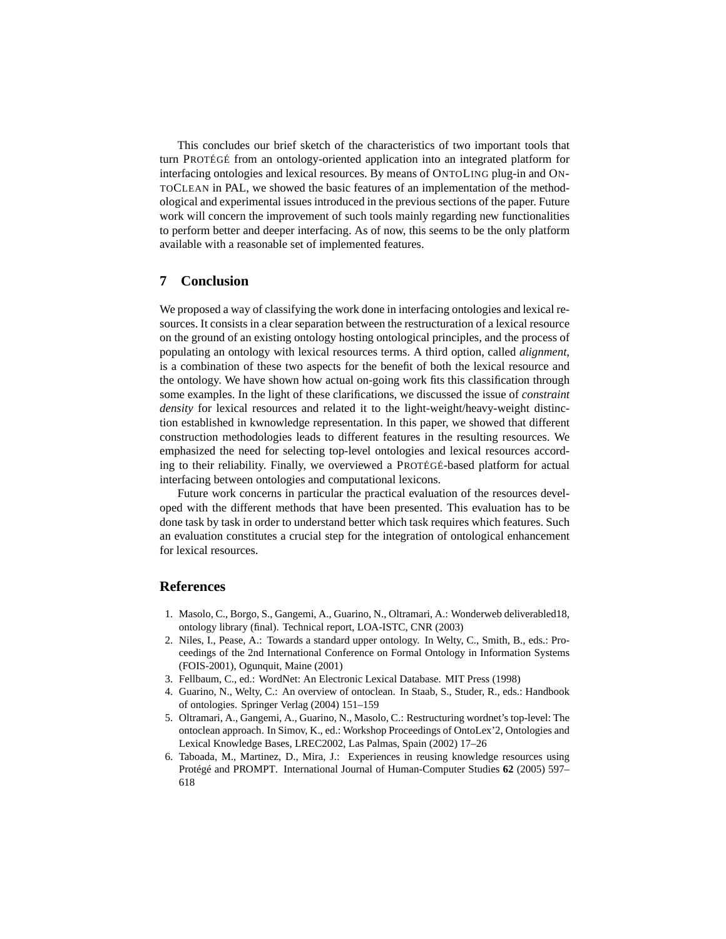This concludes our brief sketch of the characteristics of two important tools that turn PROTÉGÉ from an ontology-oriented application into an integrated platform for interfacing ontologies and lexical resources. By means of ONTOLING plug-in and ON-TOCLEAN in PAL, we showed the basic features of an implementation of the methodological and experimental issues introduced in the previous sections of the paper. Future work will concern the improvement of such tools mainly regarding new functionalities to perform better and deeper interfacing. As of now, this seems to be the only platform available with a reasonable set of implemented features.

# **7 Conclusion**

We proposed a way of classifying the work done in interfacing ontologies and lexical resources. It consists in a clear separation between the restructuration of a lexical resource on the ground of an existing ontology hosting ontological principles, and the process of populating an ontology with lexical resources terms. A third option, called *alignment*, is a combination of these two aspects for the benefit of both the lexical resource and the ontology. We have shown how actual on-going work fits this classification through some examples. In the light of these clarifications, we discussed the issue of *constraint density* for lexical resources and related it to the light-weight/heavy-weight distinction established in kwnowledge representation. In this paper, we showed that different construction methodologies leads to different features in the resulting resources. We emphasized the need for selecting top-level ontologies and lexical resources according to their reliability. Finally, we overviewed a PROTÉGÉ-based platform for actual interfacing between ontologies and computational lexicons.

Future work concerns in particular the practical evaluation of the resources developed with the different methods that have been presented. This evaluation has to be done task by task in order to understand better which task requires which features. Such an evaluation constitutes a crucial step for the integration of ontological enhancement for lexical resources.

# **References**

- 1. Masolo, C., Borgo, S., Gangemi, A., Guarino, N., Oltramari, A.: Wonderweb deliverabled18, ontology library (final). Technical report, LOA-ISTC, CNR (2003)
- 2. Niles, I., Pease, A.: Towards a standard upper ontology. In Welty, C., Smith, B., eds.: Proceedings of the 2nd International Conference on Formal Ontology in Information Systems (FOIS-2001), Ogunquit, Maine (2001)
- 3. Fellbaum, C., ed.: WordNet: An Electronic Lexical Database. MIT Press (1998)
- 4. Guarino, N., Welty, C.: An overview of ontoclean. In Staab, S., Studer, R., eds.: Handbook of ontologies. Springer Verlag (2004) 151–159
- 5. Oltramari, A., Gangemi, A., Guarino, N., Masolo, C.: Restructuring wordnet's top-level: The ontoclean approach. In Simov, K., ed.: Workshop Proceedings of OntoLex'2, Ontologies and Lexical Knowledge Bases, LREC2002, Las Palmas, Spain (2002) 17–26
- 6. Taboada, M., Martinez, D., Mira, J.: Experiences in reusing knowledge resources using Protégé and PROMPT. International Journal of Human-Computer Studies **62** (2005) 597– 618